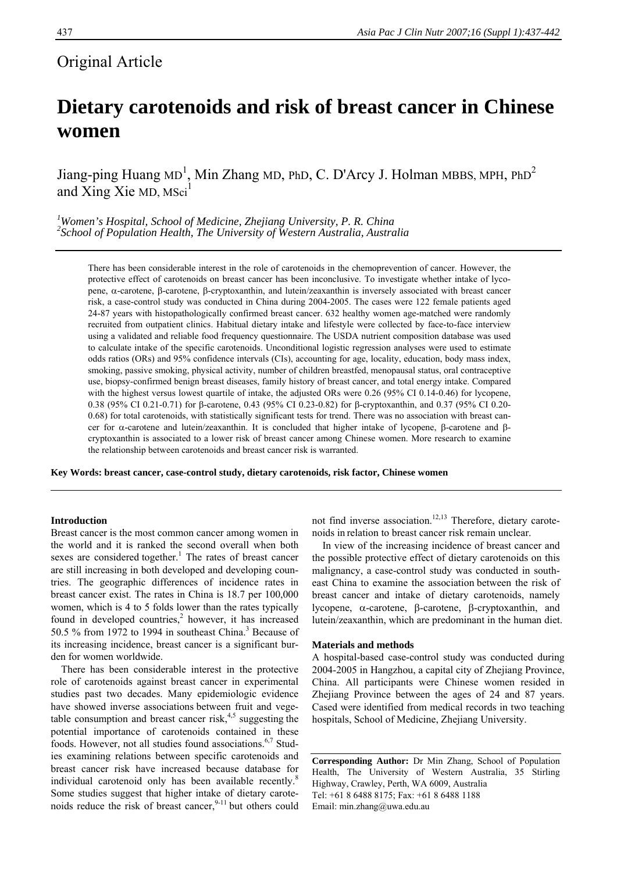# Original Article

# **Dietary carotenoids and risk of breast cancer in Chinese women**

Jiang-ping Huang MD<sup>1</sup>, Min Zhang MD, PhD, C. D'Arcy J. Holman MBBS, MPH, PhD<sup>2</sup> and Xing Xie MD, MSci<sup>1</sup>

*1 Women's Hospital, School of Medicine, Zhejiang University, P. R. China*  <sup>2</sup> School of Population Health, The University of Western Australia, Australia

There has been considerable interest in the role of carotenoids in the chemoprevention of cancer. However, the protective effect of carotenoids on breast cancer has been inconclusive. To investigate whether intake of lycopene, α-carotene, β-carotene, β-cryptoxanthin, and lutein/zeaxanthin is inversely associated with breast cancer risk, a case-control study was conducted in China during 2004-2005. The cases were 122 female patients aged 24-87 years with histopathologically confirmed breast cancer. 632 healthy women age-matched were randomly recruited from outpatient clinics. Habitual dietary intake and lifestyle were collected by face-to-face interview using a validated and reliable food frequency questionnaire. The USDA nutrient composition database was used to calculate intake of the specific carotenoids. Unconditional logistic regression analyses were used to estimate odds ratios (ORs) and 95% confidence intervals (CIs), accounting for age, locality, education, body mass index, smoking, passive smoking, physical activity, number of children breastfed, menopausal status, oral contraceptive use, biopsy-confirmed benign breast diseases, family history of breast cancer, and total energy intake. Compared with the highest versus lowest quartile of intake, the adjusted ORs were 0.26 (95% CI 0.14-0.46) for lycopene, 0.38 (95% CI 0.21-0.71) for β-carotene, 0.43 (95% CI 0.23-0.82) for β-cryptoxanthin, and 0.37 (95% CI 0.20- 0.68) for total carotenoids, with statistically significant tests for trend. There was no association with breast cancer for α-carotene and lutein/zeaxanthin. It is concluded that higher intake of lycopene, β-carotene and βcryptoxanthin is associated to a lower risk of breast cancer among Chinese women. More research to examine the relationship between carotenoids and breast cancer risk is warranted.

**Key Words: breast cancer, case-control study, dietary carotenoids, risk factor, Chinese women** 

# **Introduction**

Breast cancer is the most common cancer among women in the world and it is ranked the second overall when both sexes are considered together.<sup>1</sup> The rates of breast cancer are still increasing in both developed and developing countries. The geographic differences of incidence rates in breast cancer exist. The rates in China is 18.7 per 100,000 women, which is 4 to 5 folds lower than the rates typically found in developed countries, $2$  however, it has increased 50.5  $%$  from 1972 to 1994 in southeast China.<sup>3</sup> Because of its increasing incidence, breast cancer is a significant burden for women worldwide.

There has been considerable interest in the protective role of carotenoids against breast cancer in experimental studies past two decades. Many epidemiologic evidence have showed inverse associations between fruit and vegetable consumption and breast cancer risk, $4,5$  suggesting the potential importance of carotenoids contained in these foods. However, not all studies found associations.<sup>6,7</sup> Studies examining relations between specific carotenoids and breast cancer risk have increased because database for individual carotenoid only has been available recently.<sup>8</sup> Some studies suggest that higher intake of dietary carotenoids reduce the risk of breast cancer, $9-11$  but others could not find inverse association.<sup>12,13</sup> Therefore, dietary carotenoids in relation to breast cancer risk remain unclear.

In view of the increasing incidence of breast cancer and the possible protective effect of dietary carotenoids on this malignancy, a case-control study was conducted in southeast China to examine the association between the risk of breast cancer and intake of dietary carotenoids, namely lycopene, α-carotene, β-carotene, β-cryptoxanthin, and lutein/zeaxanthin, which are predominant in the human diet.

#### **Materials and methods**

A hospital-based case-control study was conducted during 2004-2005 in Hangzhou, a capital city of Zhejiang Province, China. All participants were Chinese women resided in Zhejiang Province between the ages of 24 and 87 years. Cased were identified from medical records in two teaching hospitals, School of Medicine, Zhejiang University.

**Corresponding Author:** Dr Min Zhang, School of Population Health, The University of Western Australia, 35 Stirling Highway, Crawley, Perth, WA 6009, Australia Tel: +61 8 6488 8175; Fax: +61 8 6488 1188 Email: min.zhang@uwa.edu.au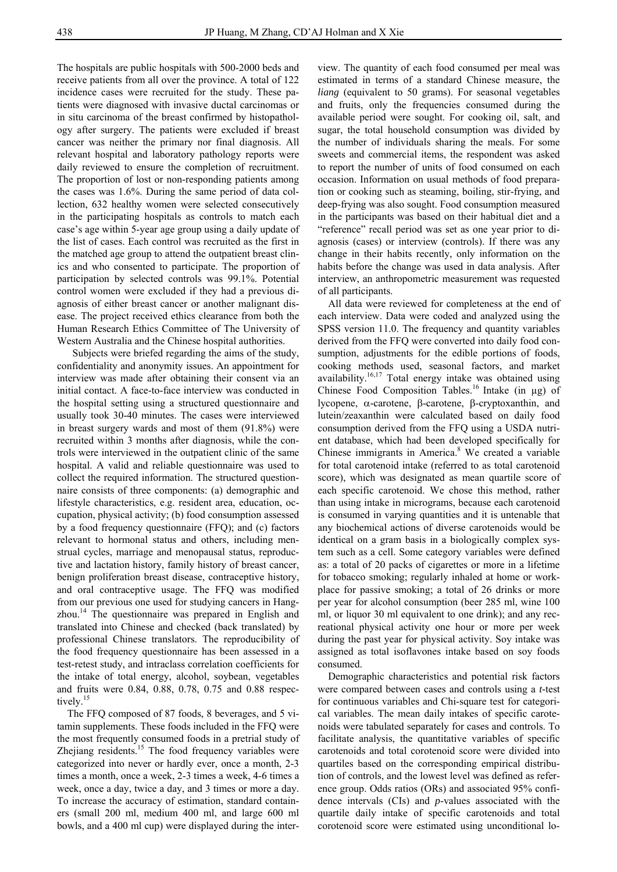The hospitals are public hospitals with 500-2000 beds and receive patients from all over the province. A total of 122 incidence cases were recruited for the study. These patients were diagnosed with invasive ductal carcinomas or in situ carcinoma of the breast confirmed by histopathology after surgery. The patients were excluded if breast cancer was neither the primary nor final diagnosis. All relevant hospital and laboratory pathology reports were daily reviewed to ensure the completion of recruitment. The proportion of lost or non-responding patients among the cases was 1.6%. During the same period of data collection, 632 healthy women were selected consecutively in the participating hospitals as controls to match each case's age within 5-year age group using a daily update of the list of cases. Each control was recruited as the first in the matched age group to attend the outpatient breast clinics and who consented to participate. The proportion of participation by selected controls was 99.1%. Potential control women were excluded if they had a previous diagnosis of either breast cancer or another malignant disease. The project received ethics clearance from both the Human Research Ethics Committee of The University of Western Australia and the Chinese hospital authorities.

Subjects were briefed regarding the aims of the study, confidentiality and anonymity issues. An appointment for interview was made after obtaining their consent via an initial contact. A face-to-face interview was conducted in the hospital setting using a structured questionnaire and usually took 30-40 minutes. The cases were interviewed in breast surgery wards and most of them (91.8%) were recruited within 3 months after diagnosis, while the controls were interviewed in the outpatient clinic of the same hospital. A valid and reliable questionnaire was used to collect the required information. The structured questionnaire consists of three components: (a) demographic and lifestyle characteristics, e.g. resident area, education, occupation, physical activity; (b) food consumption assessed by a food frequency questionnaire (FFQ); and (c) factors relevant to hormonal status and others, including menstrual cycles, marriage and menopausal status, reproductive and lactation history, family history of breast cancer, benign proliferation breast disease, contraceptive history, and oral contraceptive usage. The FFQ was modified from our previous one used for studying cancers in Hangzhou.<sup>14</sup> The questionnaire was prepared in English and translated into Chinese and checked (back translated) by professional Chinese translators. The reproducibility of the food frequency questionnaire has been assessed in a test-retest study, and intraclass correlation coefficients for the intake of total energy, alcohol, soybean, vegetables and fruits were 0.84, 0.88, 0.78, 0.75 and 0.88 respectively.<sup>15</sup>

The FFQ composed of 87 foods, 8 beverages, and 5 vitamin supplements. These foods included in the FFQ were the most frequently consumed foods in a pretrial study of Zhejiang residents. $15$  The food frequency variables were categorized into never or hardly ever, once a month, 2-3 times a month, once a week, 2-3 times a week, 4-6 times a week, once a day, twice a day, and 3 times or more a day. To increase the accuracy of estimation, standard containers (small 200 ml, medium 400 ml, and large 600 ml bowls, and a 400 ml cup) were displayed during the inter-

view. The quantity of each food consumed per meal was estimated in terms of a standard Chinese measure, the *liang* (equivalent to 50 grams). For seasonal vegetables and fruits, only the frequencies consumed during the available period were sought. For cooking oil, salt, and sugar, the total household consumption was divided by the number of individuals sharing the meals. For some sweets and commercial items, the respondent was asked to report the number of units of food consumed on each occasion. Information on usual methods of food preparation or cooking such as steaming, boiling, stir-frying, and deep-frying was also sought. Food consumption measured in the participants was based on their habitual diet and a "reference" recall period was set as one year prior to diagnosis (cases) or interview (controls). If there was any change in their habits recently, only information on the habits before the change was used in data analysis. After interview, an anthropometric measurement was requested of all participants.

All data were reviewed for completeness at the end of each interview. Data were coded and analyzed using the SPSS version 11.0. The frequency and quantity variables derived from the FFQ were converted into daily food consumption, adjustments for the edible portions of foods, cooking methods used, seasonal factors, and market availability.<sup>16,17</sup> Total energy intake was obtained using Chinese Food Composition Tables.<sup>16</sup> Intake (in  $\mu$ g) of lycopene, α-carotene, β-carotene, β-cryptoxanthin, and lutein/zeaxanthin were calculated based on daily food consumption derived from the FFQ using a USDA nutrient database, which had been developed specifically for Chinese immigrants in America.<sup>8</sup> We created a variable for total carotenoid intake (referred to as total carotenoid score), which was designated as mean quartile score of each specific carotenoid. We chose this method, rather than using intake in micrograms, because each carotenoid is consumed in varying quantities and it is untenable that any biochemical actions of diverse carotenoids would be identical on a gram basis in a biologically complex system such as a cell. Some category variables were defined as: a total of 20 packs of cigarettes or more in a lifetime for tobacco smoking; regularly inhaled at home or workplace for passive smoking; a total of 26 drinks or more per year for alcohol consumption (beer 285 ml, wine 100 ml, or liquor 30 ml equivalent to one drink); and any recreational physical activity one hour or more per week during the past year for physical activity. Soy intake was assigned as total isoflavones intake based on soy foods consumed.

Demographic characteristics and potential risk factors were compared between cases and controls using a *t-*test for continuous variables and Chi-square test for categorical variables. The mean daily intakes of specific carotenoids were tabulated separately for cases and controls. To facilitate analysis, the quantitative variables of specific carotenoids and total corotenoid score were divided into quartiles based on the corresponding empirical distribution of controls, and the lowest level was defined as reference group. Odds ratios (ORs) and associated 95% confidence intervals (CIs) and *p*-values associated with the quartile daily intake of specific carotenoids and total corotenoid score were estimated using unconditional lo-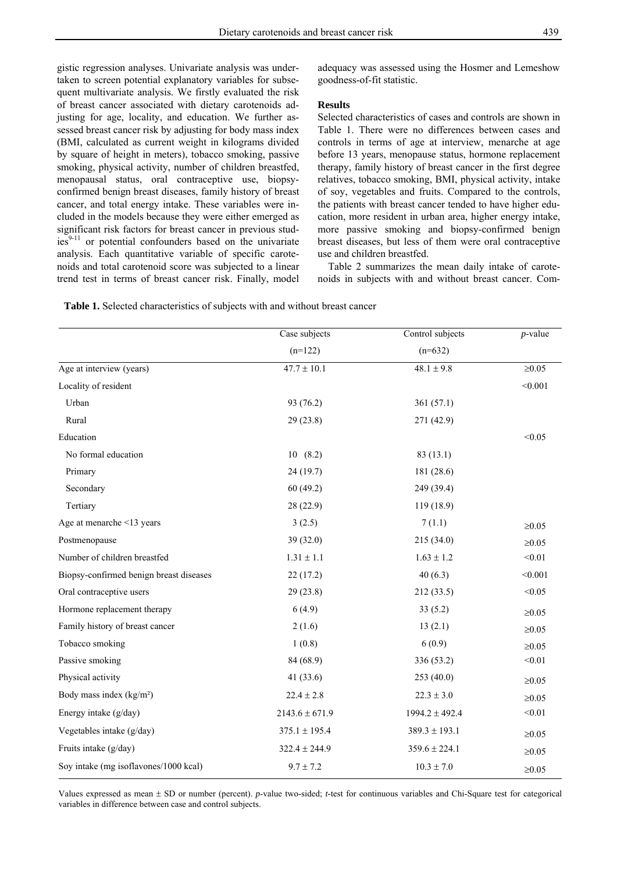gistic regression analyses. Univariate analysis was undertaken to screen potential explanatory variables for subsequent multivariate analysis. We firstly evaluated the risk of breast cancer associated with dietary carotenoids adjusting for age, locality, and education. We further assessed breast cancer risk by adjusting for body mass index (BMI, calculated as current weight in kilograms divided by square of height in meters), tobacco smoking, passive smoking, physical activity, number of children breastfed, menopausal status, oral contraceptive use, biopsyconfirmed benign breast diseases, family history of breast cancer, and total energy intake. These variables were included in the models because they were either emerged as significant risk factors for breast cancer in previous stud $ies<sup>9-11</sup>$  or potential confounders based on the univariate analysis. Each quantitative variable of specific carotenoids and total carotenoid score was subjected to a linear trend test in terms of breast cancer risk. Finally, model

adequacy was assessed using the Hosmer and Lemeshow goodness-of-fit statistic.

#### **Results**

Selected characteristics of cases and controls are shown in Table 1. There were no differences between cases and controls in terms of age at interview, menarche at age before 13 years, menopause status, hormone replacement therapy, family history of breast cancer in the first degree relatives, tobacco smoking, BMI, physical activity, intake of soy, vegetables and fruits. Compared to the controls, the patients with breast cancer tended to have higher education, more resident in urban area, higher energy intake, more passive smoking and biopsy-confirmed benign breast diseases, but less of them were oral contraceptive use and children breastfed.

Table 2 summarizes the mean daily intake of carotenoids in subjects with and without breast cancer. Com-

|                                         | Case subjects      | Control subjects   | $p$ -value   |
|-----------------------------------------|--------------------|--------------------|--------------|
|                                         | $(n=122)$          | $(n=632)$          |              |
| Age at interview (years)                | $47.7 \pm 10.1$    | $48.1 \pm 9.8$     | $\geq0.05$   |
| Locality of resident                    |                    |                    | < 0.001      |
| Urban                                   | 93 (76.2)          | 361(57.1)          |              |
| Rural                                   | 29(23.8)           | 271 (42.9)         |              |
| Education                               |                    |                    | < 0.05       |
| No formal education                     | 10(8.2)            | 83(13.1)           |              |
| Primary                                 | 24 (19.7)          | 181 (28.6)         |              |
| Secondary                               | 60(49.2)           | 249 (39.4)         |              |
| Tertiary                                | 28 (22.9)          | 119 (18.9)         |              |
| Age at menarche <13 years               | 3(2.5)             | 7(1.1)             | $\geq0.05$   |
| Postmenopause                           | 39(32.0)           | 215 (34.0)         | $\geq0.05$   |
| Number of children breastfed            | $1.31 \pm 1.1$     | $1.63 \pm 1.2$     | < 0.01       |
| Biopsy-confirmed benign breast diseases | 22(17.2)           | 40(6.3)            | < 0.001      |
| Oral contraceptive users                | 29(23.8)           | 212 (33.5)         | < 0.05       |
| Hormone replacement therapy             | 6(4.9)             | 33(5.2)            | $\geq0.05$   |
| Family history of breast cancer         | 2(1.6)             | 13(2.1)            | $\geq0.05$   |
| Tobacco smoking                         | 1(0.8)             | 6(0.9)             | $\geq0.05$   |
| Passive smoking                         | 84 (68.9)          | 336 (53.2)         | < 0.01       |
| Physical activity                       | 41(33.6)           | 253 (40.0)         | $\geq0.05$   |
| Body mass index $(kg/m2)$               | $22.4 \pm 2.8$     | $22.3 \pm 3.0$     | $\geq 0.05$  |
| Energy intake (g/day)                   | $2143.6 \pm 671.9$ | $1994.2 \pm 492.4$ | < 0.01       |
| Vegetables intake (g/day)               | $375.1 \pm 195.4$  | $389.3 \pm 193.1$  | $\geq0.05$   |
| Fruits intake (g/day)                   | $322.4 \pm 244.9$  | $359.6 \pm 224.1$  | ${\geq}0.05$ |
| Soy intake (mg isoflavones/1000 kcal)   | $9.7 \pm 7.2$      | $10.3 \pm 7.0$     | $\geq0.05$   |

Values expressed as mean ± SD or number (percent). *p*-value two-sided; *t-*test for continuous variables and Chi-Square test for categorical variables in difference between case and control subjects.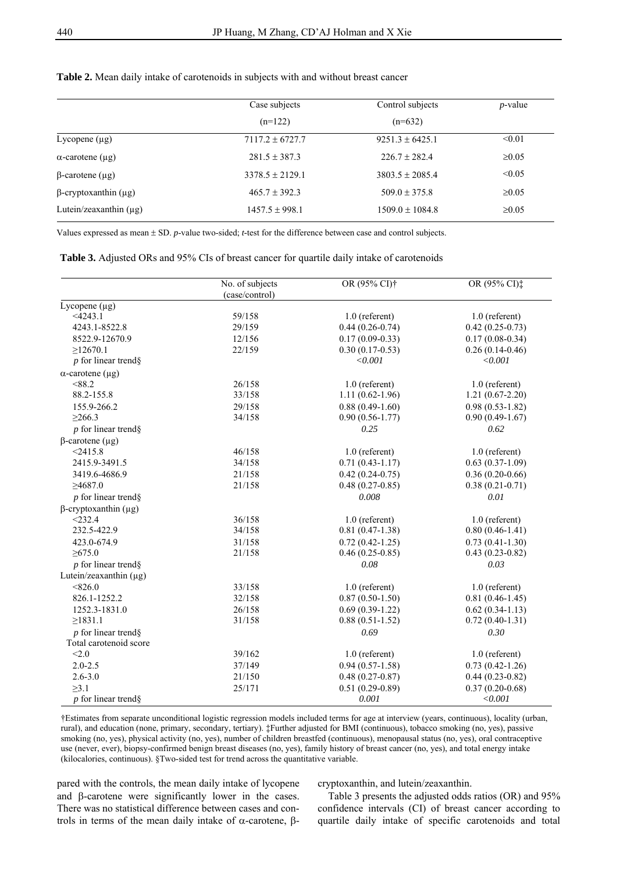|                             | Case subjects       | Control subjects    | $p$ -value  |
|-----------------------------|---------------------|---------------------|-------------|
|                             | $(n=122)$           | $(n=632)$           |             |
| Lycopene $(\mu g)$          | $7117.2 \pm 6727.7$ | $9251.3 \pm 6425.1$ | < 0.01      |
| $\alpha$ -carotene (µg)     | $281.5 \pm 387.3$   | $226.7 \pm 282.4$   | $\geq 0.05$ |
| $\beta$ -carotene (µg)      | $3378.5 \pm 2129.1$ | $3803.5 \pm 2085.4$ | < 0.05      |
| $\beta$ -cryptoxanthin (µg) | $465.7 \pm 392.3$   | $509.0 \pm 375.8$   | $\geq 0.05$ |
| Lutein/zeaxanthin $(\mu g)$ | $1457.5 \pm 998.1$  | $1509.0 \pm 1084.8$ | $\geq 0.05$ |

## **Table 2.** Mean daily intake of carotenoids in subjects with and without breast cancer

Values expressed as mean ± SD. *p*-value two-sided; *t-*test for the difference between case and control subjects.

| (case/control)<br>Lycopene $(\mu g)$<br>$<$ 4243.1<br>59/158<br>$1.0$ (referent)<br>$0.44(0.26-0.74)$<br>4243.1-8522.8<br>29/159<br>$0.17(0.09 - 0.33)$<br>8522.9-12670.9<br>12/156<br>>12670.1<br>22/159<br>$0.30(0.17-0.53)$<br>$p$ for linear trends<br>< 0.001<br>$\alpha$ -carotene (µg)<br><88.2<br>26/158<br>$1.0$ (referent)<br>33/158<br>$1.11(0.62 - 1.96)$<br>88.2-155.8<br>155.9-266.2<br>29/158<br>$0.88(0.49-1.60)$<br>34/158<br>$0.90(0.56 - 1.77)$<br>$\geq 266.3$<br>$p$ for linear trends<br>0.25<br>$\beta$ -carotene (µg)<br>$<$ 2415.8<br>46/158<br>$1.0$ (referent)<br>2415.9-3491.5<br>34/158<br>$0.71(0.43-1.17)$<br>3419.6-4686.9<br>$0.42(0.24-0.75)$<br>21/158<br>$0.48(0.27-0.85)$<br>>4687.0<br>21/158<br>$p$ for linear trends<br>0.008<br>$\beta$ -cryptoxanthin (µg)<br>< 232.4<br>36/158<br>$1.0$ (referent)<br>232.5-422.9<br>34/158<br>$0.81(0.47-1.38)$ | $1.0$ (referent)    |
|---------------------------------------------------------------------------------------------------------------------------------------------------------------------------------------------------------------------------------------------------------------------------------------------------------------------------------------------------------------------------------------------------------------------------------------------------------------------------------------------------------------------------------------------------------------------------------------------------------------------------------------------------------------------------------------------------------------------------------------------------------------------------------------------------------------------------------------------------------------------------------------------|---------------------|
|                                                                                                                                                                                                                                                                                                                                                                                                                                                                                                                                                                                                                                                                                                                                                                                                                                                                                             |                     |
|                                                                                                                                                                                                                                                                                                                                                                                                                                                                                                                                                                                                                                                                                                                                                                                                                                                                                             |                     |
|                                                                                                                                                                                                                                                                                                                                                                                                                                                                                                                                                                                                                                                                                                                                                                                                                                                                                             |                     |
|                                                                                                                                                                                                                                                                                                                                                                                                                                                                                                                                                                                                                                                                                                                                                                                                                                                                                             | $0.42(0.25-0.73)$   |
|                                                                                                                                                                                                                                                                                                                                                                                                                                                                                                                                                                                                                                                                                                                                                                                                                                                                                             | $0.17(0.08-0.34)$   |
|                                                                                                                                                                                                                                                                                                                                                                                                                                                                                                                                                                                                                                                                                                                                                                                                                                                                                             | $0.26(0.14-0.46)$   |
|                                                                                                                                                                                                                                                                                                                                                                                                                                                                                                                                                                                                                                                                                                                                                                                                                                                                                             | < 0.001             |
|                                                                                                                                                                                                                                                                                                                                                                                                                                                                                                                                                                                                                                                                                                                                                                                                                                                                                             |                     |
|                                                                                                                                                                                                                                                                                                                                                                                                                                                                                                                                                                                                                                                                                                                                                                                                                                                                                             | $1.0$ (referent)    |
|                                                                                                                                                                                                                                                                                                                                                                                                                                                                                                                                                                                                                                                                                                                                                                                                                                                                                             | $1.21(0.67-2.20)$   |
|                                                                                                                                                                                                                                                                                                                                                                                                                                                                                                                                                                                                                                                                                                                                                                                                                                                                                             | $0.98(0.53 - 1.82)$ |
|                                                                                                                                                                                                                                                                                                                                                                                                                                                                                                                                                                                                                                                                                                                                                                                                                                                                                             | $0.90(0.49-1.67)$   |
|                                                                                                                                                                                                                                                                                                                                                                                                                                                                                                                                                                                                                                                                                                                                                                                                                                                                                             | 0.62                |
|                                                                                                                                                                                                                                                                                                                                                                                                                                                                                                                                                                                                                                                                                                                                                                                                                                                                                             |                     |
|                                                                                                                                                                                                                                                                                                                                                                                                                                                                                                                                                                                                                                                                                                                                                                                                                                                                                             | $1.0$ (referent)    |
|                                                                                                                                                                                                                                                                                                                                                                                                                                                                                                                                                                                                                                                                                                                                                                                                                                                                                             | $0.63(0.37-1.09)$   |
|                                                                                                                                                                                                                                                                                                                                                                                                                                                                                                                                                                                                                                                                                                                                                                                                                                                                                             | $0.36(0.20-0.66)$   |
|                                                                                                                                                                                                                                                                                                                                                                                                                                                                                                                                                                                                                                                                                                                                                                                                                                                                                             | $0.38(0.21 - 0.71)$ |
|                                                                                                                                                                                                                                                                                                                                                                                                                                                                                                                                                                                                                                                                                                                                                                                                                                                                                             | 0.01                |
|                                                                                                                                                                                                                                                                                                                                                                                                                                                                                                                                                                                                                                                                                                                                                                                                                                                                                             |                     |
|                                                                                                                                                                                                                                                                                                                                                                                                                                                                                                                                                                                                                                                                                                                                                                                                                                                                                             | $1.0$ (referent)    |
|                                                                                                                                                                                                                                                                                                                                                                                                                                                                                                                                                                                                                                                                                                                                                                                                                                                                                             | $0.80(0.46 - 1.41)$ |
| 423.0-674.9<br>31/158<br>$0.72(0.42 - 1.25)$                                                                                                                                                                                                                                                                                                                                                                                                                                                                                                                                                                                                                                                                                                                                                                                                                                                | $0.73(0.41-1.30)$   |
| >675.0<br>21/158<br>$0.46(0.25-0.85)$                                                                                                                                                                                                                                                                                                                                                                                                                                                                                                                                                                                                                                                                                                                                                                                                                                                       | $0.43(0.23-0.82)$   |
| $p$ for linear trends<br>0.08                                                                                                                                                                                                                                                                                                                                                                                                                                                                                                                                                                                                                                                                                                                                                                                                                                                               | 0.03                |
| Lutein/zeaxanthin $(\mu g)$                                                                                                                                                                                                                                                                                                                                                                                                                                                                                                                                                                                                                                                                                                                                                                                                                                                                 |                     |
| < 826.0<br>33/158<br>$1.0$ (referent)                                                                                                                                                                                                                                                                                                                                                                                                                                                                                                                                                                                                                                                                                                                                                                                                                                                       | $1.0$ (referent)    |
| 826.1-1252.2<br>$0.87(0.50-1.50)$<br>32/158                                                                                                                                                                                                                                                                                                                                                                                                                                                                                                                                                                                                                                                                                                                                                                                                                                                 | $0.81(0.46 - 1.45)$ |
| 1252.3-1831.0<br>$0.69(0.39-1.22)$<br>26/158                                                                                                                                                                                                                                                                                                                                                                                                                                                                                                                                                                                                                                                                                                                                                                                                                                                | $0.62(0.34-1.13)$   |
| $\geq$ 1831.1<br>$0.88(0.51-1.52)$<br>31/158                                                                                                                                                                                                                                                                                                                                                                                                                                                                                                                                                                                                                                                                                                                                                                                                                                                | $0.72(0.40-1.31)$   |
| 0.69<br>$p$ for linear trends                                                                                                                                                                                                                                                                                                                                                                                                                                                                                                                                                                                                                                                                                                                                                                                                                                                               | 0.30                |
| Total carotenoid score                                                                                                                                                                                                                                                                                                                                                                                                                                                                                                                                                                                                                                                                                                                                                                                                                                                                      |                     |
| < 2.0<br>39/162<br>$1.0$ (referent)                                                                                                                                                                                                                                                                                                                                                                                                                                                                                                                                                                                                                                                                                                                                                                                                                                                         | $1.0$ (referent)    |
| $2.0 - 2.5$<br>$0.94(0.57-1.58)$<br>37/149                                                                                                                                                                                                                                                                                                                                                                                                                                                                                                                                                                                                                                                                                                                                                                                                                                                  | $0.73(0.42 - 1.26)$ |
| $2.6 - 3.0$<br>21/150<br>$0.48(0.27-0.87)$                                                                                                                                                                                                                                                                                                                                                                                                                                                                                                                                                                                                                                                                                                                                                                                                                                                  | $0.44(0.23-0.82)$   |
| >3.1<br>$0.51(0.29-0.89)$<br>25/171                                                                                                                                                                                                                                                                                                                                                                                                                                                                                                                                                                                                                                                                                                                                                                                                                                                         | $0.37(0.20-0.68)$   |
| $p$ for linear trend $\S$<br>0.001                                                                                                                                                                                                                                                                                                                                                                                                                                                                                                                                                                                                                                                                                                                                                                                                                                                          |                     |

†Estimates from separate unconditional logistic regression models included terms for age at interview (years, continuous), locality (urban, rural), and education (none, primary, secondary, tertiary). ‡Further adjusted for BMI (continuous), tobacco smoking (no, yes), passive smoking (no, yes), physical activity (no, yes), number of children breastfed (continuous), menopausal status (no, yes), oral contraceptive use (never, ever), biopsy-confirmed benign breast diseases (no, yes), family history of breast cancer (no, yes), and total energy intake (kilocalories, continuous). §Two-sided test for trend across the quantitative variable.

pared with the controls, the mean daily intake of lycopene and β-carotene were significantly lower in the cases. There was no statistical difference between cases and controls in terms of the mean daily intake of α-carotene, βcryptoxanthin, and lutein/zeaxanthin.

Table 3 presents the adjusted odds ratios (OR) and 95% confidence intervals (CI) of breast cancer according to quartile daily intake of specific carotenoids and total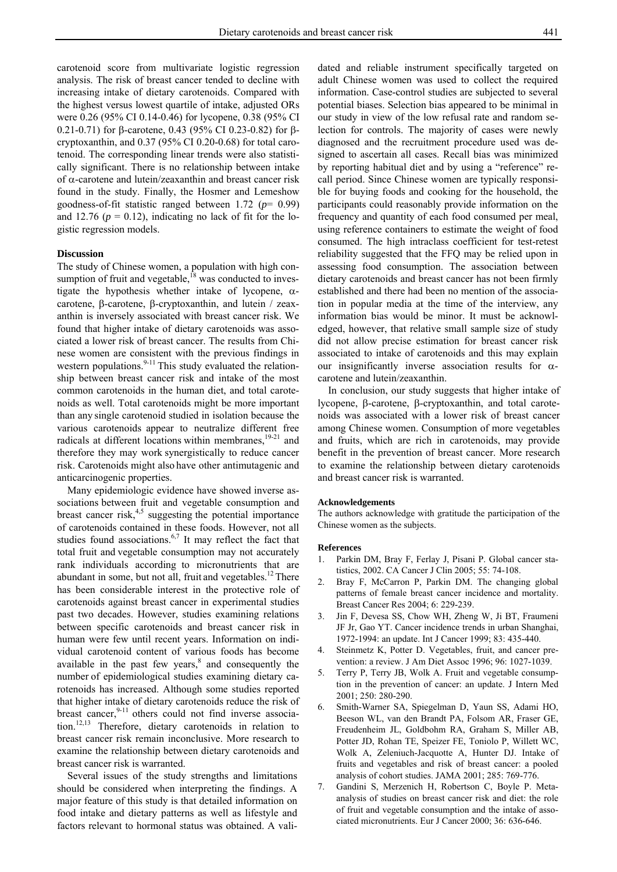carotenoid score from multivariate logistic regression analysis. The risk of breast cancer tended to decline with increasing intake of dietary carotenoids. Compared with the highest versus lowest quartile of intake, adjusted ORs were 0.26 (95% CI 0.14-0.46) for lycopene, 0.38 (95% CI 0.21-0.71) for β-carotene, 0.43 (95% CI 0.23-0.82) for βcryptoxanthin, and 0.37 (95% CI 0.20-0.68) for total carotenoid. The corresponding linear trends were also statistically significant. There is no relationship between intake of α-carotene and lutein/zeaxanthin and breast cancer risk found in the study. Finally, the Hosmer and Lemeshow goodness-of-fit statistic ranged between 1.72 (*p*= 0.99) and 12.76 ( $p = 0.12$ ), indicating no lack of fit for the logistic regression models.

### **Discussion**

The study of Chinese women, a population with high consumption of fruit and vegetable,<sup>18</sup> was conducted to investigate the hypothesis whether intake of lycopene,  $\alpha$ carotene, β-carotene, β-cryptoxanthin, and lutein / zeaxanthin is inversely associated with breast cancer risk. We found that higher intake of dietary carotenoids was associated a lower risk of breast cancer. The results from Chinese women are consistent with the previous findings in western populations. $9-11$  This study evaluated the relationship between breast cancer risk and intake of the most common carotenoids in the human diet, and total carotenoids as well. Total carotenoids might be more important than any single carotenoid studied in isolation because the various carotenoids appear to neutralize different free radicals at different locations within membranes, $19-21$  and therefore they may work synergistically to reduce cancer risk. Carotenoids might also have other antimutagenic and anticarcinogenic properties.

Many epidemiologic evidence have showed inverse associations between fruit and vegetable consumption and breast cancer risk, $4,5$  suggesting the potential importance of carotenoids contained in these foods. However, not all studies found associations. $6,7$  It may reflect the fact that total fruit and vegetable consumption may not accurately rank individuals according to micronutrients that are abundant in some, but not all, fruit and vegetables.<sup>12</sup> There has been considerable interest in the protective role of carotenoids against breast cancer in experimental studies past two decades. However, studies examining relations between specific carotenoids and breast cancer risk in human were few until recent years. Information on individual carotenoid content of various foods has become available in the past few years, $<sup>8</sup>$  and consequently the</sup> number of epidemiological studies examining dietary carotenoids has increased. Although some studies reported that higher intake of dietary carotenoids reduce the risk of breast cancer, $9-11$  others could not find inverse association.12,13 Therefore, dietary carotenoids in relation to breast cancer risk remain inconclusive. More research to examine the relationship between dietary carotenoids and breast cancer risk is warranted.

Several issues of the study strengths and limitations should be considered when interpreting the findings. A major feature of this study is that detailed information on food intake and dietary patterns as well as lifestyle and factors relevant to hormonal status was obtained. A validated and reliable instrument specifically targeted on adult Chinese women was used to collect the required information. Case-control studies are subjected to several potential biases. Selection bias appeared to be minimal in our study in view of the low refusal rate and random selection for controls. The majority of cases were newly diagnosed and the recruitment procedure used was designed to ascertain all cases. Recall bias was minimized by reporting habitual diet and by using a "reference" recall period. Since Chinese women are typically responsible for buying foods and cooking for the household, the participants could reasonably provide information on the frequency and quantity of each food consumed per meal, using reference containers to estimate the weight of food consumed. The high intraclass coefficient for test-retest reliability suggested that the FFQ may be relied upon in assessing food consumption. The association between dietary carotenoids and breast cancer has not been firmly established and there had been no mention of the association in popular media at the time of the interview, any information bias would be minor. It must be acknowledged, however, that relative small sample size of study did not allow precise estimation for breast cancer risk associated to intake of carotenoids and this may explain our insignificantly inverse association results for  $\alpha$ carotene and lutein/zeaxanthin.

In conclusion, our study suggests that higher intake of lycopene, β-carotene, β-cryptoxanthin, and total carotenoids was associated with a lower risk of breast cancer among Chinese women. Consumption of more vegetables and fruits, which are rich in carotenoids, may provide benefit in the prevention of breast cancer. More research to examine the relationship between dietary carotenoids and breast cancer risk is warranted.

#### **Acknowledgements**

The authors acknowledge with gratitude the participation of the Chinese women as the subjects.

#### **References**

- 1. Parkin DM, Bray F, Ferlay J, Pisani P. Global cancer statistics, 2002. CA Cancer J Clin 2005; 55: 74-108.
- 2. Bray F, McCarron P, Parkin DM. The changing global patterns of female breast cancer incidence and mortality. Breast Cancer Res 2004; 6: 229-239.
- 3. Jin F, Devesa SS, Chow WH, Zheng W, Ji BT, Fraumeni JF Jr, Gao YT. Cancer incidence trends in urban Shanghai, 1972-1994: an update. Int J Cancer 1999; 83: 435-440.
- 4. Steinmetz K, Potter D. Vegetables, fruit, and cancer prevention: a review. J Am Diet Assoc 1996; 96: 1027-1039.
- 5. Terry P, Terry JB, Wolk A. Fruit and vegetable consumption in the prevention of cancer: an update. J Intern Med 2001; 250: 280-290.
- 6. Smith-Warner SA, Spiegelman D, Yaun SS, Adami HO, Beeson WL, van den Brandt PA, Folsom AR, Fraser GE, Freudenheim JL, Goldbohm RA, Graham S, Miller AB, Potter JD, Rohan TE, Speizer FE, Toniolo P, Willett WC, Wolk A, Zeleniuch-Jacquotte A, Hunter DJ. Intake of fruits and vegetables and risk of breast cancer: a pooled analysis of cohort studies. JAMA 2001; 285: 769-776.
- 7. Gandini S, Merzenich H, Robertson C, Boyle P. Metaanalysis of studies on breast cancer risk and diet: the role of fruit and vegetable consumption and the intake of associated micronutrients. Eur J Cancer 2000; 36: 636-646.